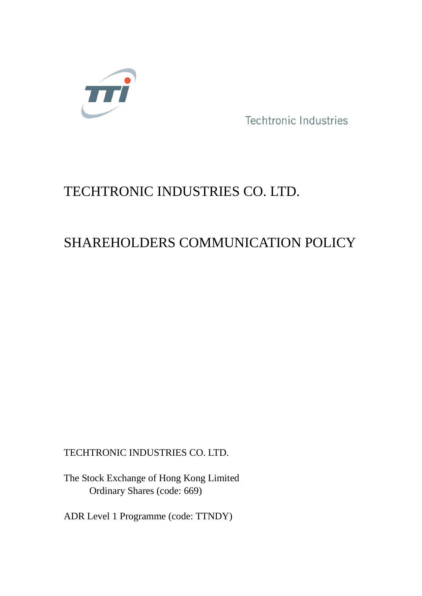

Techtronic Industries

# TECHTRONIC INDUSTRIES CO. LTD.

# SHAREHOLDERS COMMUNICATION POLICY

TECHTRONIC INDUSTRIES CO. LTD.

The Stock Exchange of Hong Kong Limited Ordinary Shares (code: 669)

ADR Level 1 Programme (code: TTNDY)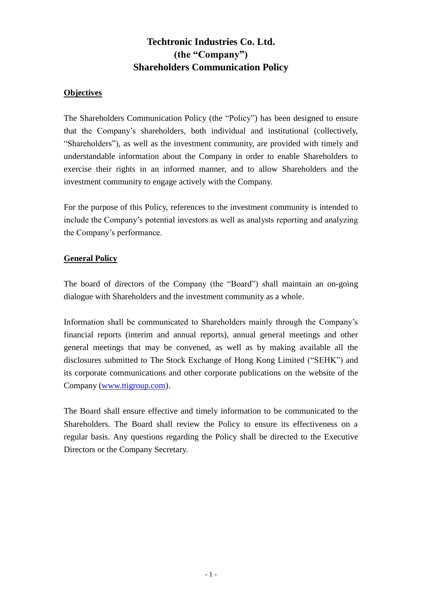# **Techtronic Industries Co. Ltd. (the "Company") Shareholders Communication Policy**

# **Objectives**

The Shareholders Communication Policy (the "Policy") has been designed to ensure that the Company's shareholders, both individual and institutional (collectively, "Shareholders"), as well as the investment community, are provided with timely and understandable information about the Company in order to enable Shareholders to exercise their rights in an informed manner, and to allow Shareholders and the investment community to engage actively with the Company.

For the purpose of this Policy, references to the investment community is intended to include the Company's potential investors as well as analysts reporting and analyzing the Company's performance.

# **General Policy**

The board of directors of the Company (the "Board") shall maintain an on-going dialogue with Shareholders and the investment community as a whole.

Information shall be communicated to Shareholders mainly through the Company's financial reports (interim and annual reports), annual general meetings and other general meetings that may be convened, as well as by making available all the disclosures submitted to The Stock Exchange of Hong Kong Limited ("SEHK") and its corporate communications and other corporate publications on the website of the Company [\(www.ttigroup.com\)](http://www.ttigroup.com/).

The Board shall ensure effective and timely information to be communicated to the Shareholders. The Board shall review the Policy to ensure its effectiveness on a regular basis. Any questions regarding the Policy shall be directed to the Executive Directors or the Company Secretary.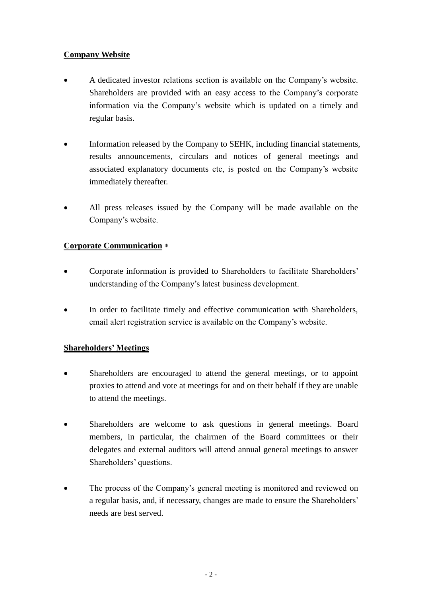# **Company Website**

- A dedicated investor relations section is available on the Company's website. Shareholders are provided with an easy access to the Company's corporate information via the Company's website which is updated on a timely and regular basis.
- Information released by the Company to SEHK, including financial statements, results announcements, circulars and notices of general meetings and associated explanatory documents etc, is posted on the Company's website immediately thereafter.
- All press releases issued by the Company will be made available on the Company's website.

# **Corporate Communication**

- Corporate information is provided to Shareholders to facilitate Shareholders' understanding of the Company's latest business development.
- In order to facilitate timely and effective communication with Shareholders, email alert registration service is available on the Company's website.

# **Shareholders' Meetings**

- Shareholders are encouraged to attend the general meetings, or to appoint proxies to attend and vote at meetings for and on their behalf if they are unable to attend the meetings.
- Shareholders are welcome to ask questions in general meetings. Board members, in particular, the chairmen of the Board committees or their delegates and external auditors will attend annual general meetings to answer Shareholders' questions.
- The process of the Company's general meeting is monitored and reviewed on a regular basis, and, if necessary, changes are made to ensure the Shareholders' needs are best served.